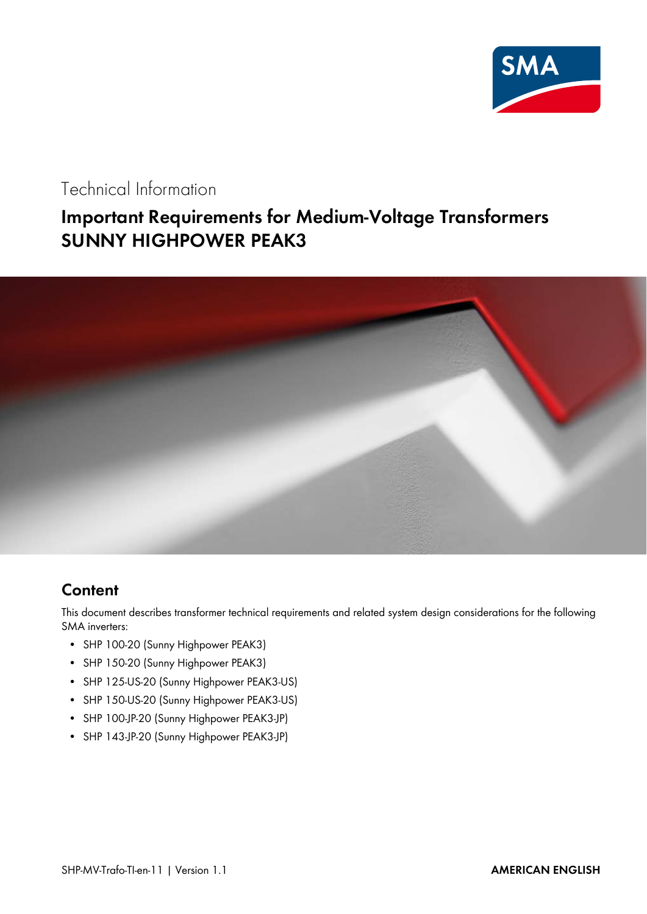

### Technical Information

# **Important Requirements for Medium-Voltage Transformers SUNNY HIGHPOWER PEAK3**



#### **Content**

This document describes transformer technical requirements and related system design considerations for the following SMA inverters:

- SHP 100-20 (Sunny Highpower PEAK3)
- SHP 150-20 (Sunny Highpower PEAK3)
- SHP 125-US-20 (Sunny Highpower PEAK3-US)
- SHP 150-US-20 (Sunny Highpower PEAK3-US)
- SHP 100-JP-20 (Sunny Highpower PEAK3-JP)
- SHP 143-JP-20 (Sunny Highpower PEAK3-JP)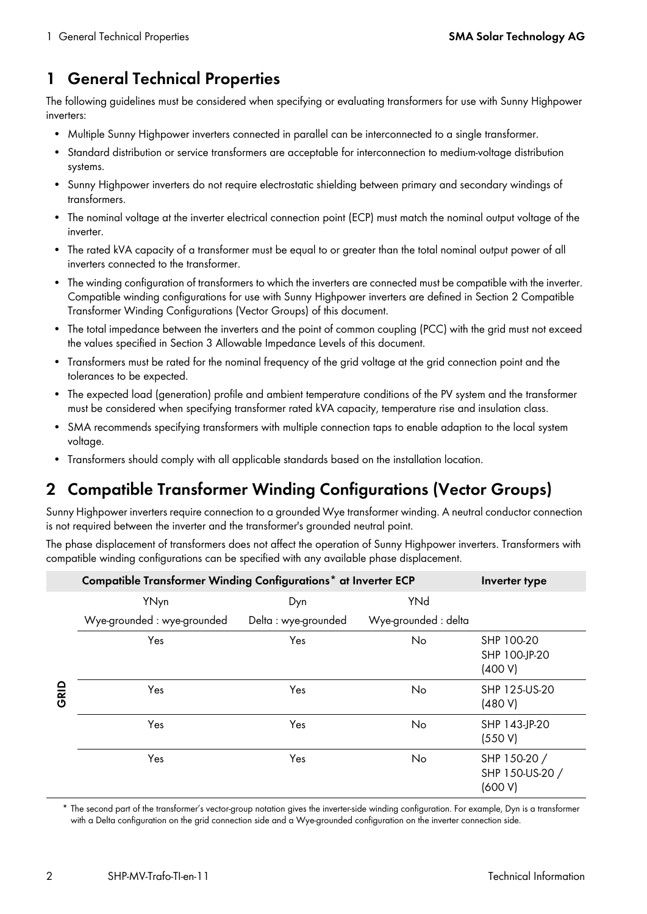### <span id="page-1-1"></span>**1 General Technical Properties**

The following guidelines must be considered when specifying or evaluating transformers for use with Sunny Highpower inverters:

- Multiple Sunny Highpower inverters connected in parallel can be interconnected to a single transformer.
- Standard distribution or service transformers are acceptable for interconnection to medium-voltage distribution systems.
- Sunny Highpower inverters do not require electrostatic shielding between primary and secondary windings of transformers.
- The nominal voltage at the inverter electrical connection point (ECP) must match the nominal output voltage of the inverter.
- The rated kVA capacity of a transformer must be equal to or greater than the total nominal output power of all inverters connected to the transformer.
- The winding configuration of transformers to which the inverters are connected must be compatible with the inverter. Compatible winding configurations for use with Sunny Highpower inverters are defined in Section [2](#page-1-0) [Compatible](#page-1-0)  [Transformer Winding Configurations \(Vector Groups\)](#page-1-0) of this document.
- The total impedance between the inverters and the point of common coupling (PCC) with the grid must not exceed the values specified in Section [3 Allowable Impedance Levels](#page-2-0) of this document.
- Transformers must be rated for the nominal frequency of the grid voltage at the grid connection point and the tolerances to be expected.
- The expected load (generation) profile and ambient temperature conditions of the PV system and the transformer must be considered when specifying transformer rated kVA capacity, temperature rise and insulation class.
- SMA recommends specifying transformers with multiple connection taps to enable adaption to the local system voltage.
- Transformers should comply with all applicable standards based on the installation location.

# <span id="page-1-0"></span>**2 Compatible Transformer Winding Configurations (Vector Groups)**

Sunny Highpower inverters require connection to a grounded Wye transformer winding. A neutral conductor connection is not required between the inverter and the transformer's grounded neutral point.

The phase displacement of transformers does not affect the operation of Sunny Highpower inverters. Transformers with compatible winding configurations can be specified with any available phase displacement.

|      | Compatible Transformer Winding Configurations* at Inverter ECP | Inverter type        |                      |                                            |
|------|----------------------------------------------------------------|----------------------|----------------------|--------------------------------------------|
| GRID | YNyn                                                           | Dyn                  | YNd                  |                                            |
|      | Wye-grounded : wye-grounded                                    | Delta : wye-grounded | Wye-grounded : delta |                                            |
|      | Yes                                                            | Yes                  | No                   | SHP 100-20<br>SHP 100-JP-20<br>(400 V)     |
|      | Yes                                                            | Yes                  | No                   | SHP 125-US-20<br>(480 V)                   |
|      | Yes                                                            | Yes                  | No                   | SHP 143-JP-20<br>(550 V)                   |
|      | Yes                                                            | Yes                  | No                   | SHP 150-20 /<br>SHP 150-US-20 /<br>(600 V) |

\* The second part of the transformer's vector-group notation gives the inverter-side winding configuration. For example, Dyn is a transformer with a Delta configuration on the grid connection side and a Wye-grounded configuration on the inverter connection side.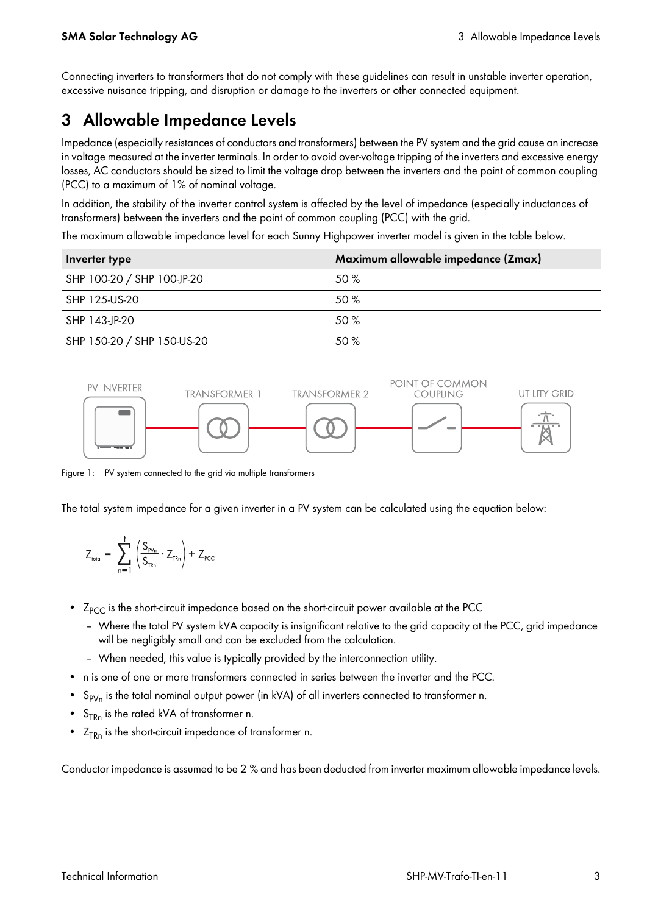Connecting inverters to transformers that do not comply with these guidelines can result in unstable inverter operation, excessive nuisance tripping, and disruption or damage to the inverters or other connected equipment.

# <span id="page-2-0"></span>**3 Allowable Impedance Levels**

Impedance (especially resistances of conductors and transformers) between the PV system and the grid cause an increase in voltage measured at the inverter terminals. In order to avoid over-voltage tripping of the inverters and excessive energy losses, AC conductors should be sized to limit the voltage drop between the inverters and the point of common coupling (PCC) to a maximum of 1% of nominal voltage.

In addition, the stability of the inverter control system is affected by the level of impedance (especially inductances of transformers) between the inverters and the point of common coupling (PCC) with the grid.

The maximum allowable impedance level for each Sunny Highpower inverter model is given in the table below.

| Inverter type              | Maximum allowable impedance (Zmax) |
|----------------------------|------------------------------------|
| SHP 100-20 / SHP 100-JP-20 | 50 %                               |
| SHP 125-US-20              | 50%                                |
| SHP 143-JP-20              | 50%                                |
| SHP 150-20 / SHP 150-US-20 | 50 %                               |



Figure 1: PV system connected to the grid via multiple transformers

The total system impedance for a given inverter in a PV system can be calculated using the equation below:

$$
Z_{\text{total}} = \sum_{n=1}^{t} \left( \frac{S_{\text{pv}_n}}{S_{\text{TR}_n}} \cdot Z_{\text{TR}_n} \right) + Z_{\text{PCC}}
$$

- $Z_{PCC}$  is the short-circuit impedance based on the short-circuit power available at the PCC
	- Where the total PV system kVA capacity is insignificant relative to the grid capacity at the PCC, grid impedance will be negligibly small and can be excluded from the calculation.
	- When needed, this value is typically provided by the interconnection utility.
- n is one of one or more transformers connected in series between the inverter and the PCC.
- $S_{PVM}$  is the total nominal output power (in kVA) of all inverters connected to transformer n.
- $S_{TRn}$  is the rated kVA of transformer n.
- $Z_{TRn}$  is the short-circuit impedance of transformer n.

Conductor impedance is assumed to be 2 % and has been deducted from inverter maximum allowable impedance levels.